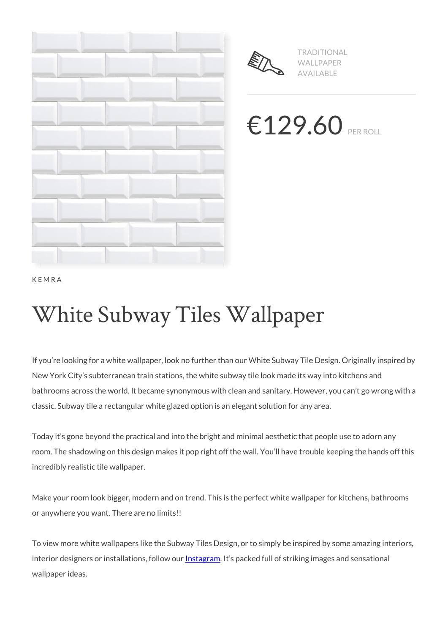



TRADITIONAL WALLPAPER AVAILABLE

€129.60 PER ROLL

KEMRA

# White Subway Tiles Wallpaper

If you're looking for a white wallpaper, look no further than our White Subway Tile Design. Originally inspired by New York City's subterranean train stations, the white subway tile look made its way into kitchens and bathrooms across the world. It became synonymous with clean and sanitary. However, you can't go wrong with a classic. Subway tile a rectangular white glazed option is an elegant solution for any area.

Today it's gone beyond the practical and into the bright and minimal aesthetic that people use to adorn any room. The shadowing on this design makes it pop right off the wall. You'll have trouble keeping the hands off this incredibly realistic tile wallpaper.

Make your room look bigger, modern and on trend. This is the perfect white wallpaper for kitchens, bathrooms or anywhere you want. There are no limits!!

To view more white wallpapers like the Subway Tiles Design, or to simply be inspired by some amazing interiors, interior designers or installations, follow our **Instagram**. It's packed full of striking images and sensational wallpaper ideas.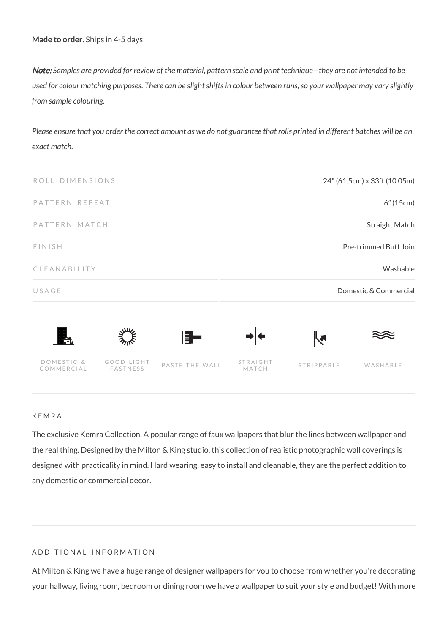**Made to order.** Ships in 4-5 days

Note: *Samples are provided for review of the material, pattern scale and print technique—they are not intended to be used for colour matching purposes. There can be slight shifts in colour between runs, so your wallpaper may vary slightly from sample colouring.*

*Please ensure that you order the correct amount as we do not guarantee that rolls printed in different batches will be an exact match.*



#### KEMRA

The exclusive Kemra Collection. A popular range of faux wallpapers that blur the lines between wallpaper and the real thing. Designed by the Milton & King studio, this collection of realistic photographic wall coverings is designed with practicality in mind. Hard wearing, easy to install and cleanable, they are the perfect addition to any domestic or commercial decor.

#### ADDITIONAL INFORMATION

At Milton & King we have a huge range of designer wallpapers for you to choose from whether you're decorating your hallway, living room, bedroom or dining room we have a wallpaper to suit your style and budget! With more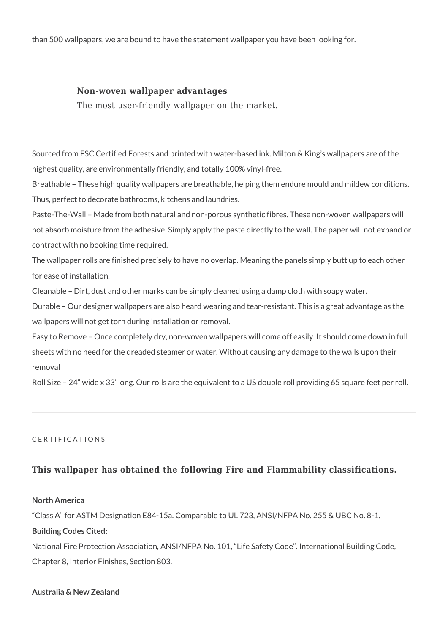than 500 wallpapers, we are bound to have the statement wallpaper you have been looking for.

### **Non-woven wallpaper advantages**

The most user-friendly wallpaper on the market.

Sourced from FSC Certified Forests and printed with water-based ink. Milton & King's wallpapers are of the highest quality, are environmentally friendly, and totally 100% vinyl-free.

Breathable – These high quality wallpapers are breathable, helping them endure mould and mildew conditions. Thus, perfect to decorate bathrooms, kitchens and laundries.

Paste-The-Wall – Made from both natural and non-porous synthetic fibres. These non-woven wallpapers will not absorb moisture from the adhesive. Simply apply the paste directly to the wall. The paper will not expand or contract with no booking time required.

The wallpaper rolls are finished precisely to have no overlap. Meaning the panels simply butt up to each other for ease of installation.

Cleanable – Dirt, dust and other marks can be simply cleaned using a damp cloth with soapy water.

Durable – Our designer wallpapers are also heard wearing and tear-resistant. This is a great advantage as the wallpapers will not get torn during installation or removal.

Easy to Remove – Once completely dry, non-woven wallpapers will come off easily. It should come down in full sheets with no need for the dreaded steamer or water. Without causing any damage to the walls upon their removal

Roll Size – 24" wide x 33' long. Our rolls are the equivalent to a US double roll providing 65 square feet per roll.

#### CERTIFICATIONS

## **This wallpaper has obtained the following Fire and Flammability classifications.**

#### **North America**

"Class A" for ASTM Designation E84-15a. Comparable to UL 723, ANSI/NFPA No. 255 & UBC No. 8-1.

#### **Building Codes Cited:**

National Fire Protection Association, ANSI/NFPA No. 101, "Life Safety Code". International Building Code, Chapter 8, Interior Finishes, Section 803.

#### **Australia & New Zealand**